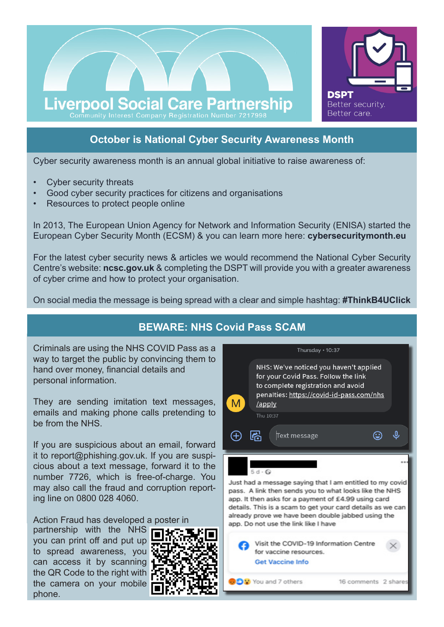

# **October is National Cyber Security Awareness Month**

Cyber security awareness month is an annual global initiative to raise awareness of:

- Cyber security threats
- Good cyber security practices for citizens and organisations
- Resources to protect people online

In 2013, The European Union Agency for Network and Information Security (ENISA) started the European Cyber Security Month (ECSM) & you can learn more here: **cybersecuritymonth.eu**

For the latest cyber security news & articles we would recommend the National Cyber Security Centre's website: **ncsc.gov.uk** & completing the DSPT will provide you with a greater awareness of cyber crime and how to protect your organisation.

On social media the message is being spread with a clear and simple hashtag: **#ThinkB4UClick**

# **BEWARE: NHS Covid Pass SCAM**

Criminals are using the NHS COVID Pass as a way to target the public by convincing them to hand over money, financial details and personal information.

They are sending imitation text messages, emails and making phone calls pretending to be from the NHS.

If you are suspicious about an email, forward it to report@phishing.gov.uk. If you are suspicious about a text message, forward it to the number 7726, which is free-of-charge. You may also call the fraud and corruption reporting line on 0800 028 4060.

Action Fraud has developed a poster in

partnership with the NHS you can print off and put up to spread awareness, you can access it by scanning the QR Code to the right with the camera on your mobile phone.



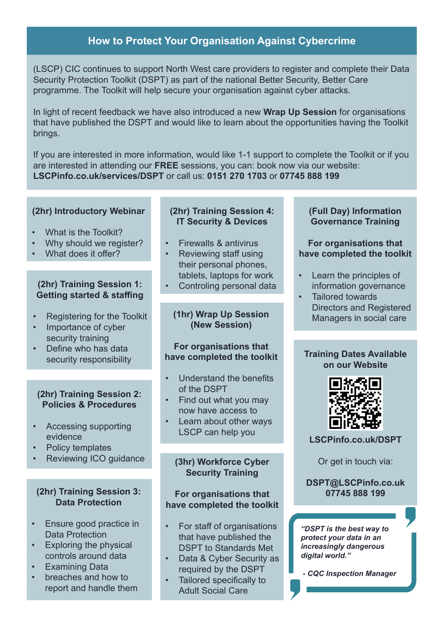# **How to Protect Your Organisation Against Cybercrime**

(LSCP) CIC continues to support North West care providers to register and complete their Data Security Protection Toolkit (DSPT) as part of the national Better Security, Better Care programme. The Toolkit will help secure your organisation against cyber attacks.

In light of recent feedback we have also introduced a new **Wrap Up Session** for organisations that have published the DSPT and would like to learn about the opportunities having the Toolkit brings.

If you are interested in more information, would like 1-1 support to complete the Toolkit or if you are interested in attending our **FREE** sessions, you can: book now via our website: **LSCPinfo.co.uk/services/DSPT** or call us: **0151 270 1703** or **07745 888 199**

### **(2hr) Introductory Webinar**

- What is the Toolkit?
- Why should we register?
- What does it offer?

#### **(2hr) Training Session 1: Getting started & staffing**

- Registering for the Toolkit
- Importance of cyber security training
- Define who has data security responsibility

#### **(2hr) Training Session 2: Policies & Procedures**

- Accessing supporting evidence
- Policy templates
- Reviewing ICO guidance

#### **(2hr) Training Session 3: Data Protection**

- Ensure good practice in Data Protection
- Exploring the physical controls around data
- Examining Data
- breaches and how to report and handle them

# **(2hr) Training Session 4: IT Security & Devices**

- Firewalls & antivirus
	- Reviewing staff using their personal phones, tablets, laptops for work
- Controling personal data

#### **(1hr) Wrap Up Session (New Session)**

#### **For organisations that have completed the toolkit**

- Understand the benefits of the DSPT
- Find out what you may now have access to
- Learn about other ways LSCP can help you

## **(3hr) Workforce Cyber Security Training**

#### **For organisations that have completed the toolkit**

- For staff of organisations that have published the DSPT to Standards Met
- Data & Cyber Security as required by the DSPT
- Tailored specifically to Adult Social Care

### **(Full Day) Information Governance Training**

### **For organisations that have completed the toolkit**

- Learn the principles of information governance
- Tailored towards Directors and Registered Managers in social care

#### **Training Dates Available on our Website**



**LSCPinfo.co.uk/DSPT**

Or get in touch via:

#### **DSPT@LSCPinfo.co.uk 07745 888 199**

*"DSPT is the best way to protect your data in an increasingly dangerous digital world."*

 *- CQC Inspection Manager*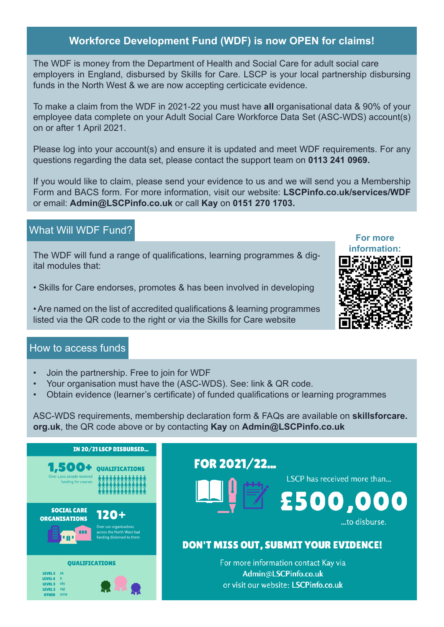# **Workforce Development Fund (WDF) is now OPEN for claims!**

The WDF is money from the Department of Health and Social Care for adult social care employers in England, disbursed by Skills for Care. LSCP is your local partnership disbursing funds in the North West & we are now accepting certicicate evidence.

To make a claim from the WDF in 2021-22 you must have **all** organisational data & 90% of your employee data complete on your Adult Social Care Workforce Data Set (ASC-WDS) account(s) on or after 1 April 2021.

Please log into your account(s) and ensure it is updated and meet WDF requirements. For any questions regarding the data set, please contact the support team on **0113 241 0969.** 

If you would like to claim, please send your evidence to us and we will send you a Membership Form and BACS form. For more information, visit our website: **LSCPinfo.co.uk/services/WDF** or email: **Admin@LSCPinfo.co.uk** or call **Kay** on **0151 270 1703.**

# What Will WDF Fund?

The WDF will fund a range of qualifications, learning programmes & digital modules that:

• Skills for Care endorses, promotes & has been involved in developing

• Are named on the list of accredited qualifications & learning programmes listed via the QR code to the right or via the Skills for Care website

## How to access funds

- Join the partnership. Free to join for WDF
- Your organisation must have the (ASC-WDS). See: link & QR code.
- Obtain evidence (learner's certificate) of funded qualifications or learning programmes

ASC-WDS requirements, membership declaration form & FAQs are available on **skillsforcare. org.uk**, the QR code above or by contacting **Kay** on **Admin@LSCPinfo.co.uk**

| IN 20/21 LSCP DISBURSED                                                                                                                     |                                                                                                      |
|---------------------------------------------------------------------------------------------------------------------------------------------|------------------------------------------------------------------------------------------------------|
| 1,500+<br>Over 1,500 people received<br>funding for courses                                                                                 | FOR 2021/22<br>LSCP has received more than<br>£500,000                                               |
| <b>SOCIAL CARE</b><br>120+<br><b>ORGANISATIONS</b><br>Over 120 organisations<br>m<br>across the North West had<br>funding disbersed to them | to disburse.<br>DON'T MISS OUT, SUBMIT YOUR EVIDENCE!                                                |
| <b>OUALIFICATIONS</b><br><b>LEVEL 5 34</b><br>13731<br>165<br><b>LEVEL</b><br>1109<br>отна                                                  | For more information contact Kay via<br>Admin@LSCPinfo.co.uk<br>or visit our website: LSCPinfo.co.uk |